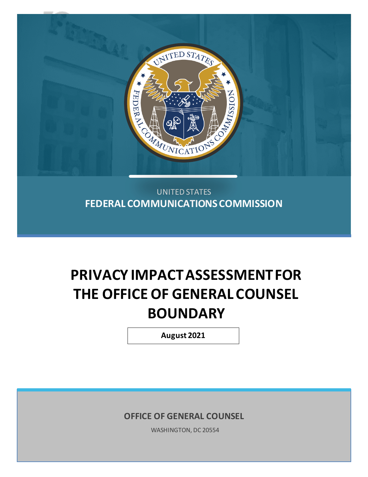

### UNITED STATES **FEDERAL COMMUNICATIONS COMMISSION**

# **PRIVACY IMPACTASSESSMENTFOR THE OFFICE OF GENERAL COUNSEL BOUNDARY**

**August 2021**

**OFFICE OF GENERAL COUNSEL**

WASHINGTON, DC 20554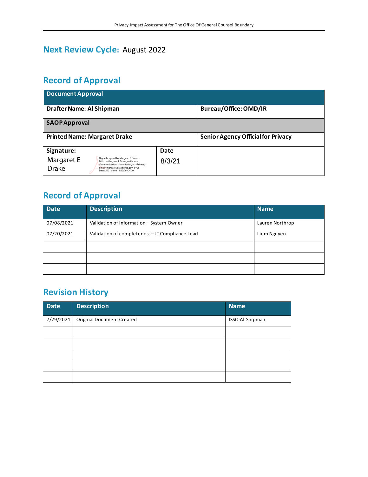# **Next Review Cycle:** August 2022

# **Record of Approval**

| <b>Document Approval</b>                                                                                                                                                                                                      |        |                                           |  |  |  |  |  |
|-------------------------------------------------------------------------------------------------------------------------------------------------------------------------------------------------------------------------------|--------|-------------------------------------------|--|--|--|--|--|
| Drafter Name: Al Shipman                                                                                                                                                                                                      |        | <b>Bureau/Office: OMD/IR</b>              |  |  |  |  |  |
| <b>SAOPApproval</b>                                                                                                                                                                                                           |        |                                           |  |  |  |  |  |
| <b>Printed Name: Margaret Drake</b>                                                                                                                                                                                           |        | <b>Senior Agency Official for Privacy</b> |  |  |  |  |  |
| Signature:                                                                                                                                                                                                                    | Date   |                                           |  |  |  |  |  |
| Digitally signed by Margaret E Drake<br>Margaret E<br>DN: cn=Margaret E Drake, o=Federal<br>Communications Commission, ou=Privacy,<br><b>Drake</b><br>email=margaret.drake@fcc.gov, c=US<br>Date: 2021.08.03 11:20:29 -04'00' | 8/3/21 |                                           |  |  |  |  |  |

# **Record of Approval**

| <b>Date</b> | <b>Description</b>                              | <b>Name</b>     |
|-------------|-------------------------------------------------|-----------------|
| 07/08/2021  | Validation of Information - System Owner        | Lauren Northrop |
| 07/20/2021  | Validation of completeness - IT Compliance Lead | Liem Nguyen     |
|             |                                                 |                 |
|             |                                                 |                 |
|             |                                                 |                 |

## **Revision History**

| Date      | <b>Description</b>               | <b>Name</b>     |
|-----------|----------------------------------|-----------------|
| 7/29/2021 | <b>Original Document Created</b> | ISSO-Al Shipman |
|           |                                  |                 |
|           |                                  |                 |
|           |                                  |                 |
|           |                                  |                 |
|           |                                  |                 |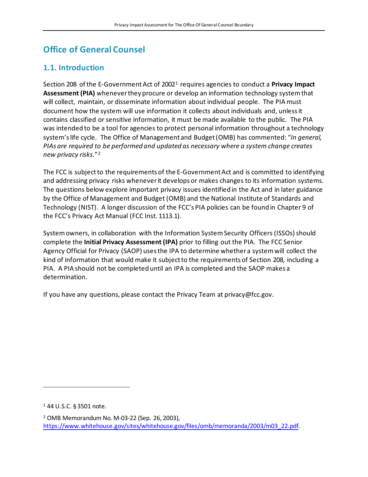# **Office of General Counsel**

#### **1.1. Introduction**

Section 208 of the E-Government Act of 2002[1](#page-2-0) requires agencies to conduct a **Privacy Impact Assessment (PIA)** whenever they procure or develop an information technology system that will collect, maintain, or disseminate information about individual people. The PIA must document how the system will use information it collects about individuals and, unless it contains classified or sensitive information, it must be made available to the public. The PIA was intended to be a tool for agencies to protect personal information throughout a technology system's life cycle. The Office of Management and Budget (OMB) has commented: "*In general, PIAs are required to be performed and updated as necessary where a system change creates new privacy risks.*"[2](#page-2-1)

The FCC is subject to the requirements of the E-Government Act and is committed to identifying and addressing privacy risks whenever it develops or makes changes to its information systems. The questions below explore important privacy issues identified in the Act and in later guidance by the Office of Management and Budget (OMB) and the National Institute of Standards and Technology (NIST). A longer discussion of the FCC's PIA policies can be found in Chapter 9 of the FCC's Privacy Act Manual (FCC Inst. 1113.1).

System owners, in collaboration with the Information System Security Officers (ISSOs)should complete the **Initial Privacy Assessment (IPA)** prior to filling out the PIA. The FCC Senior Agency Official for Privacy (SAOP) usesthe IPA to determine whether a system will collect the kind of information that would make it subject to the requirements of Section 208, including a PIA. A PIA should not be completed until an IPA is completed and the SAOP makes a determination.

If you have any questions, please contact the Privacy Team at privacy@fcc.gov.

<span id="page-2-0"></span><sup>1</sup> 44 U.S.C. § 3501 note.

<span id="page-2-1"></span><sup>2</sup> OMB Memorandum No. M-03-22 (Sep. 26, 2003), [https://www.whitehouse.gov/sites/whitehouse.gov/files/omb/memoranda/2003/m03\\_22.pdf.](https://www.whitehouse.gov/sites/whitehouse.gov/files/omb/memoranda/2003/m03_22.pdf)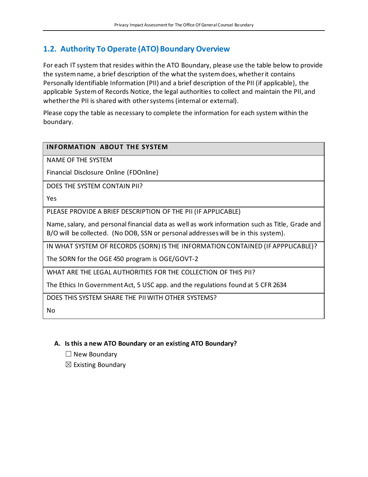#### **1.2. Authority To Operate (ATO) Boundary Overview**

For each IT system that resides within the ATO Boundary, please use the table below to provide the system name, a brief description of the what the system does, whether it contains Personally Identifiable Information (PII) and a brief description of the PII (if applicable), the applicable System of Records Notice, the legal authorities to collect and maintain the PII, and whether the PII is shared with other systems (internal or external).

Please copy the table as necessary to complete the information for each system within the boundary.

#### **INFORMATION ABOUT THE SYSTEM**

NAME OF THE SYSTEM

Financial Disclosure Online (FDOnline)

DOES THE SYSTEM CONTAIN PII?

Yes

PLEASE PROVIDE A BRIEF DESCRIPTION OF THE PII (IF APPLICABLE)

Name, salary, and personal financial data as well as work information such as Title, Grade and B/O will be collected. (No DOB, SSN or personal addresses will be in this system).

IN WHAT SYSTEM OF RECORDS (SORN) IS THE INFORMATION CONTAINED (IF APPPLICABLE)?

The SORN for the OGE 450 program is OGE/GOVT-2

WHAT ARE THE LEGAL AUTHORITIES FOR THE COLLECTION OF THIS PII?

The Ethics In Government Act, 5 USC app. and the regulations found at 5 CFR 2634

DOES THIS SYSTEM SHARE THE PII WITH OTHER SYSTEMS?

No

#### **A. Is this a new ATO Boundary or an existing ATO Boundary?**

☐ New Boundary

 $\boxtimes$  Existing Boundary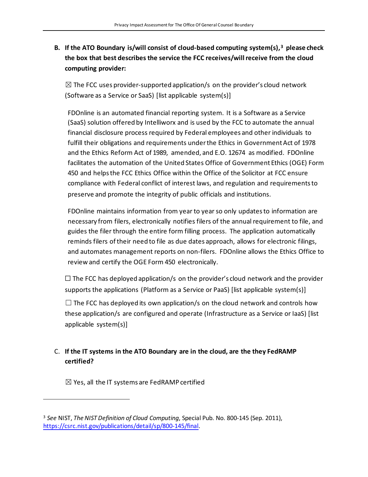#### **B. If the ATO Boundary is/will consist of cloud-based computing system(s),[3](#page-4-0) please check the box that best describes the service the FCC receives/will receive from the cloud computing provider:**

 $\boxtimes$  The FCC uses provider-supported application/s on the provider's cloud network (Software as a Service or SaaS) [list applicable system(s)]

FDOnline is an automated financial reporting system. It is a Software as a Service (SaaS) solution offered by Intelliworx and is used by the FCC to automate the annual financial disclosure process required by Federal employees and other individuals to fulfill their obligations and requirements underthe Ethics in Government Act of 1978 and the Ethics Reform Act of 1989, amended, and E.O. 12674 as modified. FDOnline facilitates the automation of the United States Office of Government Ethics (OGE) Form 450 and helps the FCC Ethics Office within the Office of the Solicitor at FCC ensure compliance with Federal conflict of interest laws, and regulation and requirements to preserve and promote the integrity of public officials and institutions.

FDOnline maintains information from year to year so only updates to information are necessary from filers, electronically notifies filers of the annual requirement to file, and guides the filer through the entire form filling process. The application automatically reminds filers of their need to file as due dates approach, allows for electronic filings, and automates management reports on non-filers. FDOnline allows the Ethics Office to review and certify the OGE Form 450 electronically.

 $\Box$  The FCC has deployed application/s on the provider's cloud network and the provider supports the applications (Platform as a Service or PaaS) [list applicable system(s)]

 $\Box$  The FCC has deployed its own application/s on the cloud network and controls how these application/s are configured and operate (Infrastructure as a Service or IaaS) [list applicable system(s)]

#### C. **If the IT systems in the ATO Boundary are in the cloud, are the they FedRAMP certified?**

 $\boxtimes$  Yes, all the IT systems are FedRAMP certified

<span id="page-4-0"></span><sup>3</sup> *See* NIST, *The NIST Definition of Cloud Computing*, Special Pub. No. 800-145 (Sep. 2011), [https://csrc.nist.gov/publications/detail/sp/800-145/final.](https://csrc.nist.gov/publications/detail/sp/800-145/final)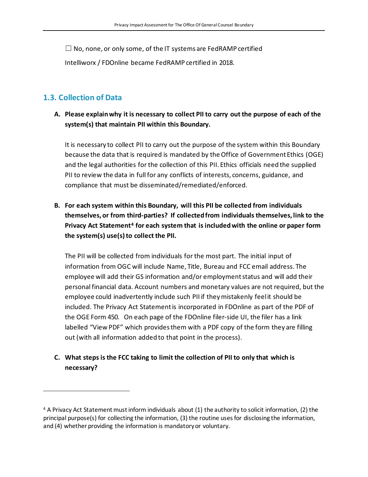$\Box$  No, none, or only some, of the IT systems are FedRAMP certified

Intelliworx / FDOnline became FedRAMP certified in 2018.

#### **1.3. Collection of Data**

#### **A. Please explain why it is necessary to collect PII to carry out the purpose of each of the system(s) that maintain PII within this Boundary.**

It is necessary to collect PII to carry out the purpose of the system within this Boundary because the data that is required is mandated by the Office of Government Ethics (OGE) and the legal authorities for the collection of this PII. Ethics officials need the supplied PII to review the data in full for any conflicts of interests, concerns, guidance, and compliance that must be disseminated/remediated/enforced.

**B. For each system within this Boundary, will this PII be collected from individuals themselves, or from third-parties? If collected from individuals themselves, link to the Privacy Act Statement[4](#page-5-0) for each system that is included with the online or paper form** the system(s) use(s) to collect the PII.

The PII will be collected from individuals for the most part. The initial input of information from OGC will include Name, Title, Bureau and FCC email address. The employee will add their GS information and/or employment status and will add their personal financial data. Account numbers and monetary values are not required, but the employee could inadvertently include such PII if they mistakenly feel it should be included. The Privacy Act Statement is incorporated in FDOnline as part of the PDF of the OGE Form 450. On each page of the FDOnline filer-side UI, the filer has a link labelled "View PDF" which provides them with a PDF copy of the form they are filling out (with all information added to that point in the process).

#### **C. What steps is the FCC taking to limit the collection of PII to only that which is necessary?**

<span id="page-5-0"></span><sup>4</sup> A Privacy Act Statement must inform individuals about (1) the authority to solicit information, (2) the principal purpose(s) for collecting the information, (3) the routine uses for disclosing the information, and (4) whether providing the information is mandatory or voluntary.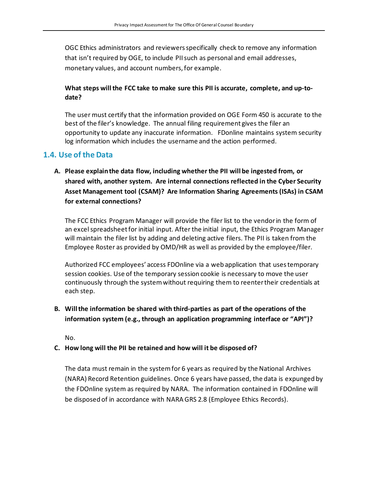OGC Ethics administrators and reviewers specifically check to remove any information that isn't required by OGE, to include PII such as personal and email addresses, monetary values, and account numbers, for example.

#### **What steps will the FCC take to make sure this PII is accurate, complete, and up-todate?**

The user must certify that the information provided on OGE Form 450 is accurate to the best of the filer's knowledge. The annual filing requirement gives the filer an opportunity to update any inaccurate information. FDonline maintains system security log information which includes the username and the action performed.

#### **1.4. Use of the Data**

**A. Please explain the data flow, including whether the PII will be ingested from, or shared with, another system. Are internal connections reflected in the Cyber Security Asset Management tool (CSAM)? Are Information Sharing Agreements (ISAs) in CSAM for external connections?**

The FCC Ethics Program Manager will provide the filer list to the vendor in the form of an excel spreadsheet for initial input. After the initial input, the Ethics Program Manager will maintain the filer list by adding and deleting active filers. The PII is taken from the Employee Roster as provided by OMD/HR as well as provided by the employee/filer.

Authorized FCC employees' access FDOnline via a web application that uses temporary session cookies. Use of the temporary session cookie is necessary to move the user continuously through the system without requiring them to reenter their credentials at each step.

**B. Will the information be shared with third-parties as part of the operations of the information system (e.g., through an application programming interface or "API")?**

No.

#### **C. How long will the PII be retained and how will it be disposed of?**

The data must remain in the system for 6 years as required by the National Archives (NARA) Record Retention guidelines. Once 6 years have passed, the data is expunged by the FDOnline system as required by NARA. The information contained in FDOnline will be disposed of in accordance with NARA GRS 2.8 (Employee Ethics Records).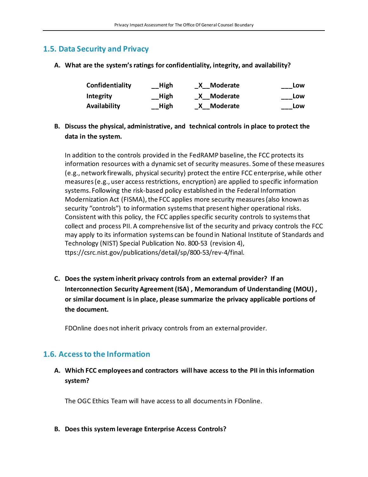#### **1.5. Data Security and Privacy**

**A. What are the system's ratings for confidentiality, integrity, and availability?**

| Confidentiality | __High             | Moderate   | Low |
|-----------------|--------------------|------------|-----|
| Integrity       | __High             | X Moderate | Low |
| Availability    | $\mathsf{L}$ –High | X Moderate | Low |

**B. Discuss the physical, administrative, and technical controls in place to protect the data in the system.**

In addition to the controls provided in the FedRAMP baseline, the FCC protects its information resources with a dynamic set of security measures. Some of these measures (e.g., network firewalls, physical security) protect the entire FCC enterprise, while other measures (e.g., user access restrictions, encryption) are applied to specific information systems. Following the risk-based policy established in the Federal Information Modernization Act (FISMA), the FCC applies more security measures (also known as security "controls") to information systems that present higher operational risks. Consistent with this policy, the FCC applies specific security controls to systems that collect and process PII. A comprehensive list of the security and privacy controls the FCC may apply to its information systems can be found in National Institute of Standards and Technology (NIST) Special Publication No. 800-53 (revision 4), ttps://csrc.nist.gov/publications/detail/sp/800-53/rev-4/final.

**C. Does the system inherit privacy controls from an external provider? If an Interconnection Security Agreement (ISA) , Memorandum of Understanding (MOU) , or similar document is in place, please summarize the privacy applicable portions of the document.** 

FDOnline does not inherit privacy controls from an external provider.

#### **1.6. Access to the Information**

#### **A. Which FCC employees and contractors will have access to the PII in this information system?**

The OGC Ethics Team will have access to all documents in FDonline.

**B. Does this system leverage Enterprise Access Controls?**